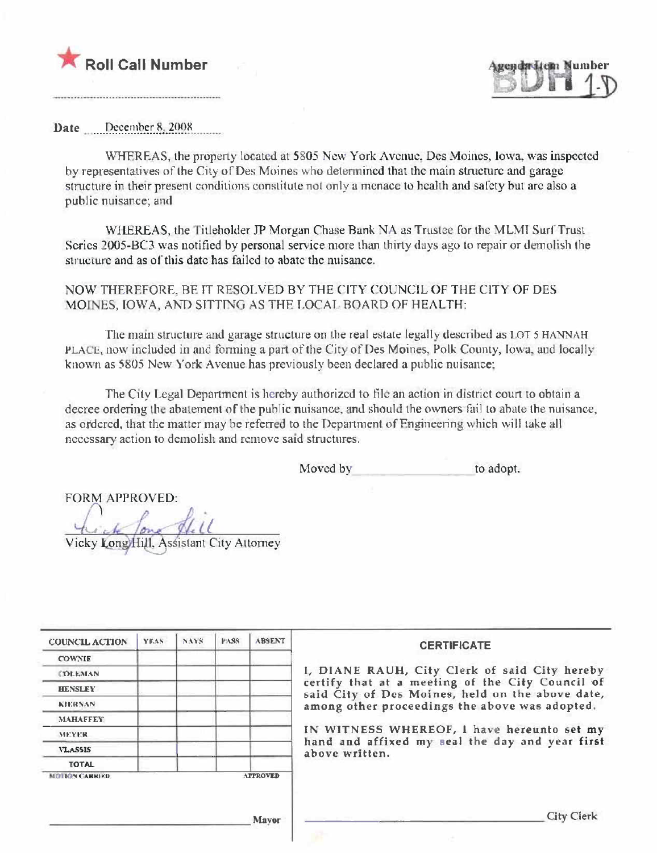



Date December 8, 2008

WHEREAS, the property located at 5805 New York Avenue, Des Moines, Iowa, was inspected by representatives of the City of Des Moines who determined that the main structure and garage structure in their present conditions constitute not only a menace to health and safety but are also a public nuisance; and

WHEREAS, the Titleholder JP Morgan Chase Bank NA as Trustee for the MLMI Surf Trust Series 2005-BC3 was notified by personal service more than thirty days ago to repair or demolish the structure and as of this date has failed to abate the nuisance.

NOW THEREFORE. BE IT RESOLVED BY THE CITY COUNCIL OF THE CITY OF DES MOINES, IOWA, AND SITTING AS THE LOCAL BOARD OF HEALTH:

The main structure and garage structure on the real estate legally described as LOT 5 HANNAH PLACE, now included in and forming a part of the City of Des Moines, Polk County, Iowa, and locally known as 5805 New York Avenue has previously been declared a public nuisance:

The City Legal Department is hereby authorized to file an action in district court to obtain a decree ordering the abatement of the public nuisance, and should the owners fail to abate the nuisance, as ordered, that the matter may be referred to the Department of Engineering which will take all necessary action to demolish and remove said structures.

> Moved by to adopt.

**FORM APPROVED:** 

Vicky Long Hill, Assistant City Attorney

| <b>COUNCIL ACTION</b> | <b>YEAS</b> | NAYS. | <b>PASS</b> | <b>ABSENT</b>   | <b>CERTIFICATE</b>                                                                                   |
|-----------------------|-------------|-------|-------------|-----------------|------------------------------------------------------------------------------------------------------|
| <b>COWNIE</b>         |             |       |             |                 |                                                                                                      |
| <b>COLEMAN</b>        |             |       |             |                 | 1, DIANE RAUH, City Clerk of said City hereby                                                        |
| <b>HENSLEY</b>        |             |       |             |                 | certify that at a meeting of the City Council of<br>said City of Des Moines, held on the above date, |
| <b>KIERNAN</b>        |             |       |             |                 | among other proceedings the above was adopted.                                                       |
| <b>MAHAFFEY</b>       |             |       |             |                 |                                                                                                      |
| <b>MEYER</b>          |             |       |             |                 | IN WITNESS WHEREOF, I have hereunto set my                                                           |
| <b>VLASSIS</b>        |             |       |             |                 | hand and affixed my seal the day and year first<br>above written.                                    |
| <b>TOTAL</b>          |             |       |             |                 |                                                                                                      |
| <b>MOTION CARRIED</b> |             |       |             | <b>APPROVED</b> |                                                                                                      |
|                       |             |       |             | <b>Mayor</b>    | <b>City Clerk</b>                                                                                    |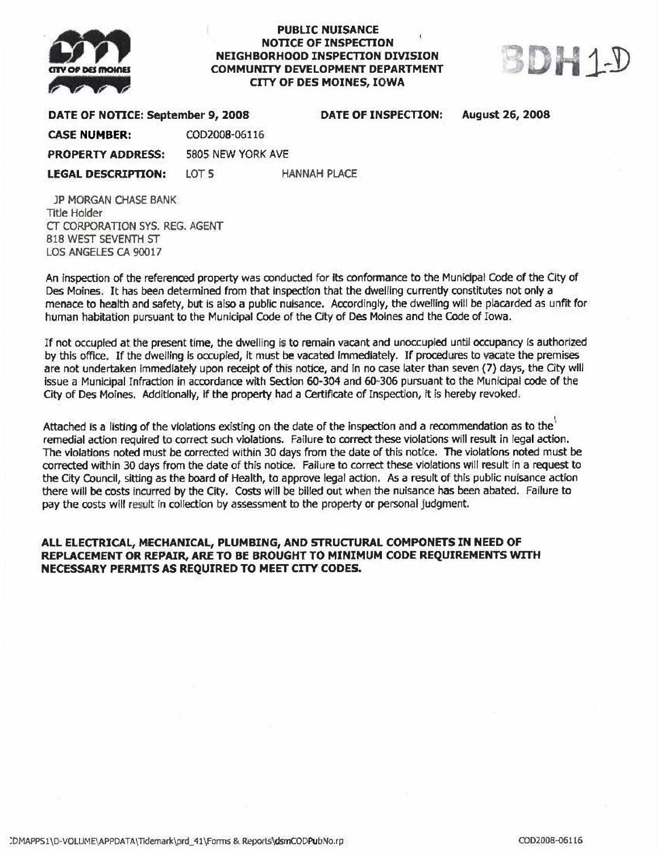

## **PUBLIC NUISANCE NOTICE OF INSPECTION** NEIGHBORHOOD INSPECTION DIVISION **COMMUNITY DEVELOPMENT DEPARTMENT CITY OF DES MOINES, IOWA**



## DATE OF NOTICE: September 9, 2008 DATE OF INSPECTION: **August 26, 2008 CASE NUMBER:** COD2008-06116 **PROPERTY ADDRESS:** 5805 NEW YORK AVE

**LEGAL DESCRIPTION: LOT 5 HANNAH PLACE** 

**JP MORGAN CHASE BANK Title Holder** CT CORPORATION SYS. REG. AGENT **818 WEST SEVENTH ST** LOS ANGELES CA 90017

An inspection of the referenced property was conducted for its conformance to the Municipal Code of the City of Des Moines. It has been determined from that inspection that the dwelling currently constitutes not only a menace to health and safety, but is also a public nuisance. Accordingly, the dwelling will be placarded as unfit for human habitation pursuant to the Municipal Code of the City of Des Moines and the Code of Iowa.

If not occupied at the present time, the dwelling is to remain vacant and unoccupied until occupancy is authorized by this office. If the dwelling is occupied, it must be vacated immediately. If procedures to vacate the premises are not undertaken immediately upon receipt of this notice, and in no case later than seven (7) days, the City will issue a Municipal Infraction in accordance with Section 60-304 and 60-306 pursuant to the Municipal code of the City of Des Moines. Additionally, if the property had a Certificate of Inspection, it is hereby revoked.

Attached is a listing of the violations existing on the date of the inspection and a recommendation as to the remedial action required to correct such violations. Failure to correct these violations will result in legal action. The violations noted must be corrected within 30 days from the date of this notice. The violations noted must be corrected within 30 days from the date of this notice. Failure to correct these violations will result in a request to the City Council, sitting as the board of Health, to approve legal action. As a result of this public nuisance action there will be costs incurred by the City. Costs will be billed out when the nuisance has been abated. Failure to pay the costs will result in collection by assessment to the property or personal judgment.

## ALL ELECTRICAL, MECHANICAL, PLUMBING, AND STRUCTURAL COMPONETS IN NEED OF REPLACEMENT OR REPAIR, ARE TO BE BROUGHT TO MINIMUM CODE REQUIREMENTS WITH NECESSARY PERMITS AS REQUIRED TO MEET CITY CODES.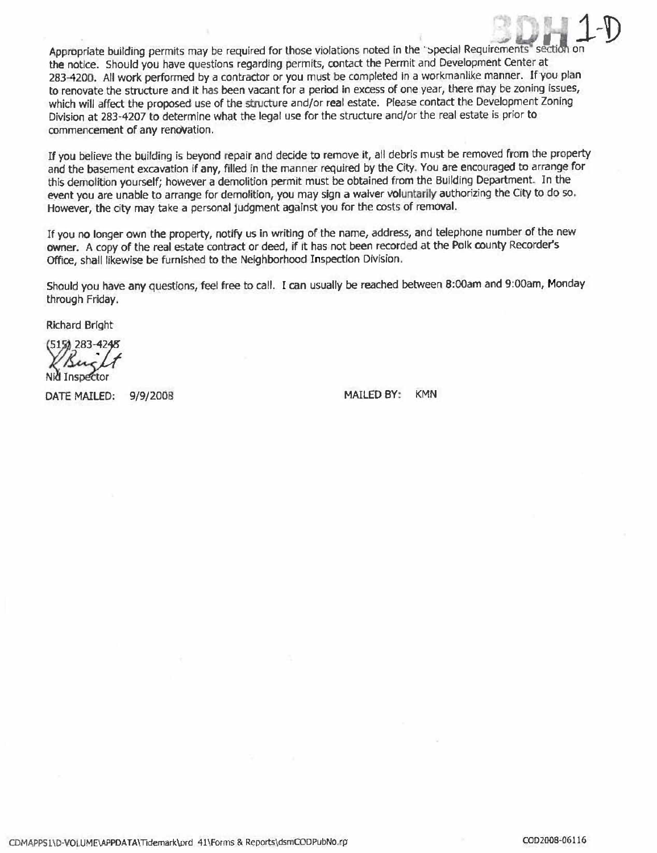Appropriate building permits may be required for those violations noted in the "special Requirements" section the notice. Should you have questions regarding permits, contact the Permit and Development Center at 283-4200. All work performed by a contractor or you must be completed in a workmanlike manner. If you plan to renovate the structure and it has been vacant for a period in excess of one year, there may be zoning issues, which will affect the proposed use of the structure and/or real estate. Please contact the Development Zoning Division at 283-4207 to determine what the legal use for the structure and/or the real estate is prior to commencement of any renovation.

If you believe the building is beyond repair and decide to remove it, all debris must be removed from the property and the basement excavation if any, filled in the manner required by the City. You are encouraged to arrange for this demolition yourself; however a demolition permit must be obtained from the Building Department. In the event you are unable to arrange for demolition, you may sign a waiver voluntarily authorizing the City to do so. However, the city may take a personal judgment against you for the costs of removal.

If you no longer own the property, notify us in writing of the name, address, and telephone number of the new owner. A copy of the real estate contract or deed, if it has not been recorded at the Polk county Recorder's Office, shall likewise be furnished to the Neighborhood Inspection Division.

Should you have any questions, feel free to call. I can usually be reached between 8:00am and 9:00am, Monday through Friday.

**Richard Bright** 

5151 283-

DATE MAILED: 9/9/2008

**MAILED BY: KMN**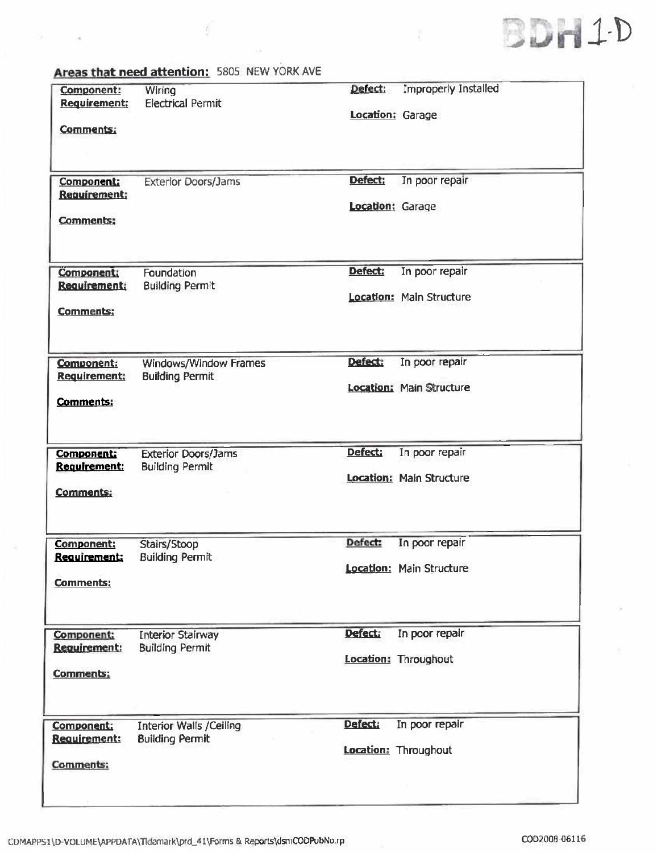

| Component:<br><b>Requirement:</b>        | Wiring<br><b>Electrical Permit</b>                       | Defect:<br>Location: Garage | <b>Improperly Installed</b>                |
|------------------------------------------|----------------------------------------------------------|-----------------------------|--------------------------------------------|
| <b>Comments:</b>                         |                                                          |                             |                                            |
| <b>Component:</b><br><b>Requirement:</b> | <b>Exterior Doors/Jams</b>                               | Defect:<br>Location: Garage | In poor repair                             |
| <b>Comments:</b>                         |                                                          |                             |                                            |
| Component:<br>Requirement:               | Foundation<br><b>Building Permit</b>                     | Defect:                     | In poor repair<br>Location: Main Structure |
| <b>Comments:</b>                         |                                                          |                             |                                            |
| <b>Component:</b><br><b>Requirement:</b> | Windows/Window Frames<br><b>Building Permit</b>          | Defect:                     | In poor repair<br>Location: Main Structure |
| <b>Comments:</b>                         |                                                          |                             |                                            |
| <b>Component:</b><br>Requirement:        | <b>Exterior Doors/Jams</b><br><b>Building Permit</b>     | Defect:                     | In poor repair                             |
| <b>Comments:</b>                         |                                                          |                             | <b>Location: Main Structure</b>            |
| Component:<br><u>Requirement:</u>        | Stairs/Stoop<br><b>Building Permit</b>                   | Defect:                     | In poor repair                             |
| <b>Comments:</b>                         |                                                          |                             | Location: Main Structure                   |
| Component:<br>Requirement:               | <b>Interior Stairway</b><br><b>Building Permit</b>       | <b>Defect:</b>              | In poor repair                             |
| <b>Comments:</b>                         |                                                          |                             | Location: Throughout                       |
| <b>Component:</b><br><b>Requirement:</b> | <b>Interior Walls /Ceiling</b><br><b>Building Permit</b> | Defect:                     | In poor repair<br>Location: Throughout     |
| Comments:                                |                                                          |                             |                                            |

Areas that need attention: 5805 NEW YORK AVE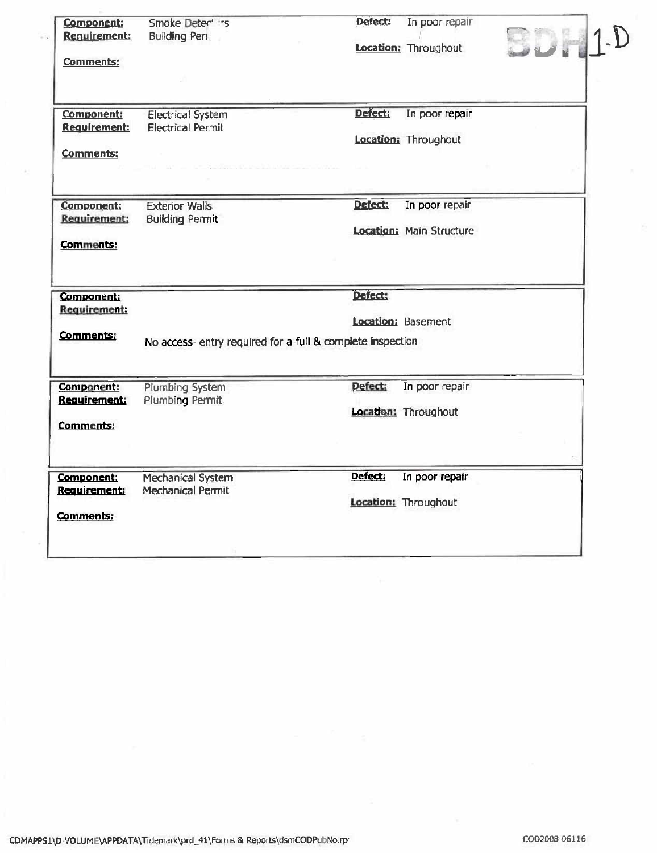| Component:<br>Requirement:                     | Smoke Deter's                                              | Defect: | In poor repair                  |  |
|------------------------------------------------|------------------------------------------------------------|---------|---------------------------------|--|
|                                                | <b>Building Pen</b>                                        |         | Location: Throughout            |  |
| <b>Comments:</b>                               |                                                            |         |                                 |  |
|                                                |                                                            |         |                                 |  |
| <b>Component:</b>                              | <b>Electrical System</b>                                   | Defect: | In poor repair                  |  |
| <b>Requirement:</b>                            | <b>Electrical Permit</b>                                   |         |                                 |  |
|                                                |                                                            |         | Location: Throughout            |  |
| <b>Comments:</b>                               |                                                            |         |                                 |  |
|                                                |                                                            |         |                                 |  |
| Component:                                     | <b>Exterior Walls</b>                                      | Defect: | In poor repair                  |  |
| Requirement:                                   | <b>Building Permit</b>                                     |         |                                 |  |
| <b>Comments:</b>                               |                                                            |         | <b>Location: Main Structure</b> |  |
| <b>Component:</b><br>Requirement:              |                                                            | Defect: |                                 |  |
|                                                |                                                            |         | Location: Basement              |  |
| <b>Comments:</b>                               | No access- entry required for a full & complete inspection |         |                                 |  |
| <b>Component:</b>                              | <b>Plumbing System</b>                                     | Defect: | In poor repair                  |  |
| <b>Requirement:</b>                            | Plumbing Permit                                            |         |                                 |  |
| <b>Comments:</b>                               |                                                            |         | Location: Throughout            |  |
|                                                | Mechanical System                                          | Defect: | In poor repair                  |  |
|                                                |                                                            |         |                                 |  |
|                                                | Mechanical Permit                                          |         |                                 |  |
| Component:<br>Requirement:<br><b>Comments:</b> |                                                            |         | Location: Throughout            |  |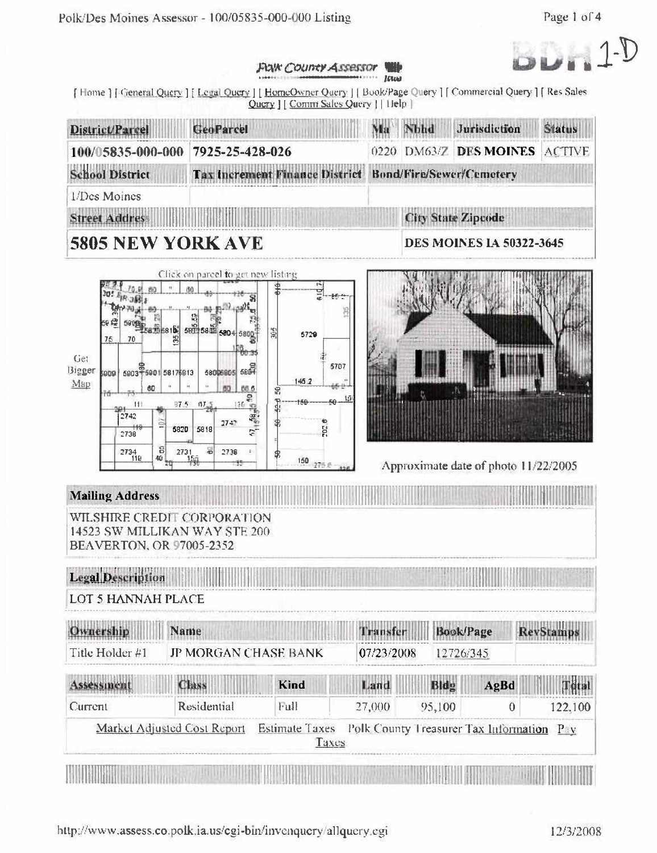